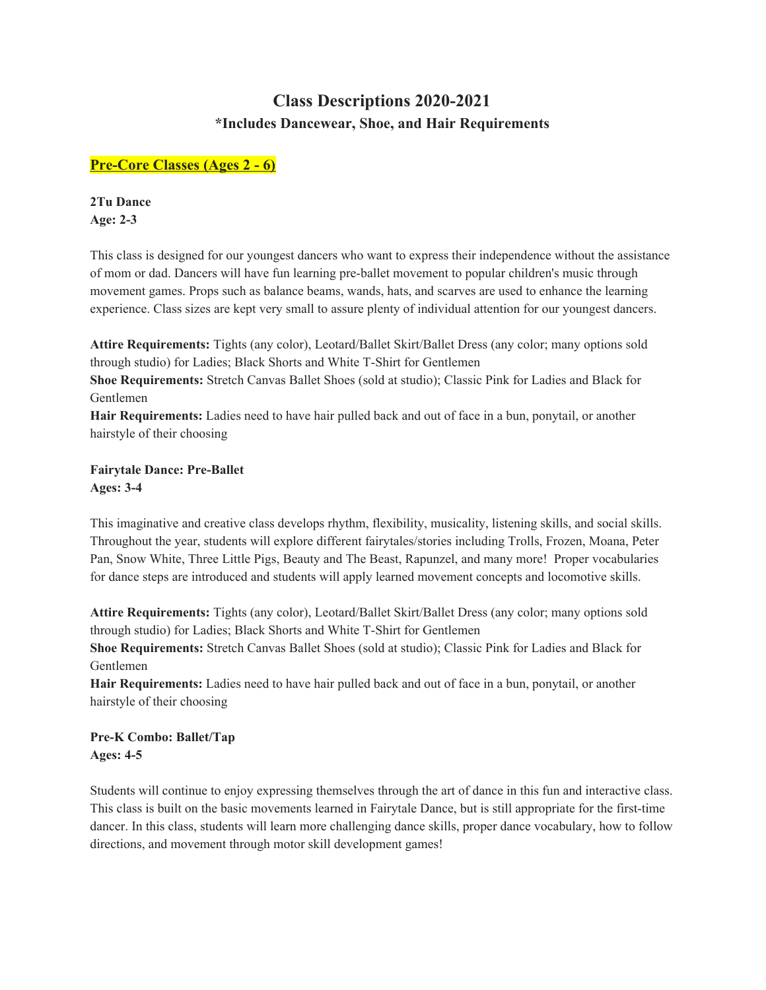# **Class Descriptions 2020-2021 \*Includes Dancewear, Shoe, and Hair Requirements**

# **Pre-Core Classes (Ages 2 - 6)**

**2Tu Dance Age: 2-3**

This class is designed for our youngest dancers who want to express their independence without the assistance of mom or dad. Dancers will have fun learning pre-ballet movement to popular children's music through movement games. Props such as balance beams, wands, hats, and scarves are used to enhance the learning experience. Class sizes are kept very small to assure plenty of individual attention for our youngest dancers.

**Attire Requirements:** Tights (any color), Leotard/Ballet Skirt/Ballet Dress (any color; many options sold through studio) for Ladies; Black Shorts and White T-Shirt for Gentlemen

**Shoe Requirements:** Stretch Canvas Ballet Shoes (sold at studio); Classic Pink for Ladies and Black for Gentlemen

**Hair Requirements:** Ladies need to have hair pulled back and out of face in a bun, ponytail, or another hairstyle of their choosing

**Fairytale Dance: Pre-Ballet Ages: 3-4**

This imaginative and creative class develops rhythm, flexibility, musicality, listening skills, and social skills. Throughout the year, students will explore different fairytales/stories including Trolls, Frozen, Moana, Peter Pan, Snow White, Three Little Pigs, Beauty and The Beast, Rapunzel, and many more! Proper vocabularies for dance steps are introduced and students will apply learned movement concepts and locomotive skills.

**Attire Requirements:** Tights (any color), Leotard/Ballet Skirt/Ballet Dress (any color; many options sold through studio) for Ladies; Black Shorts and White T-Shirt for Gentlemen

**Shoe Requirements:** Stretch Canvas Ballet Shoes (sold at studio); Classic Pink for Ladies and Black for Gentlemen

**Hair Requirements:** Ladies need to have hair pulled back and out of face in a bun, ponytail, or another hairstyle of their choosing

**Pre-K Combo: Ballet/Tap Ages: 4-5**

Students will continue to enjoy expressing themselves through the art of dance in this fun and interactive class. This class is built on the basic movements learned in Fairytale Dance, but is still appropriate for the first-time dancer. In this class, students will learn more challenging dance skills, proper dance vocabulary, how to follow directions, and movement through motor skill development games!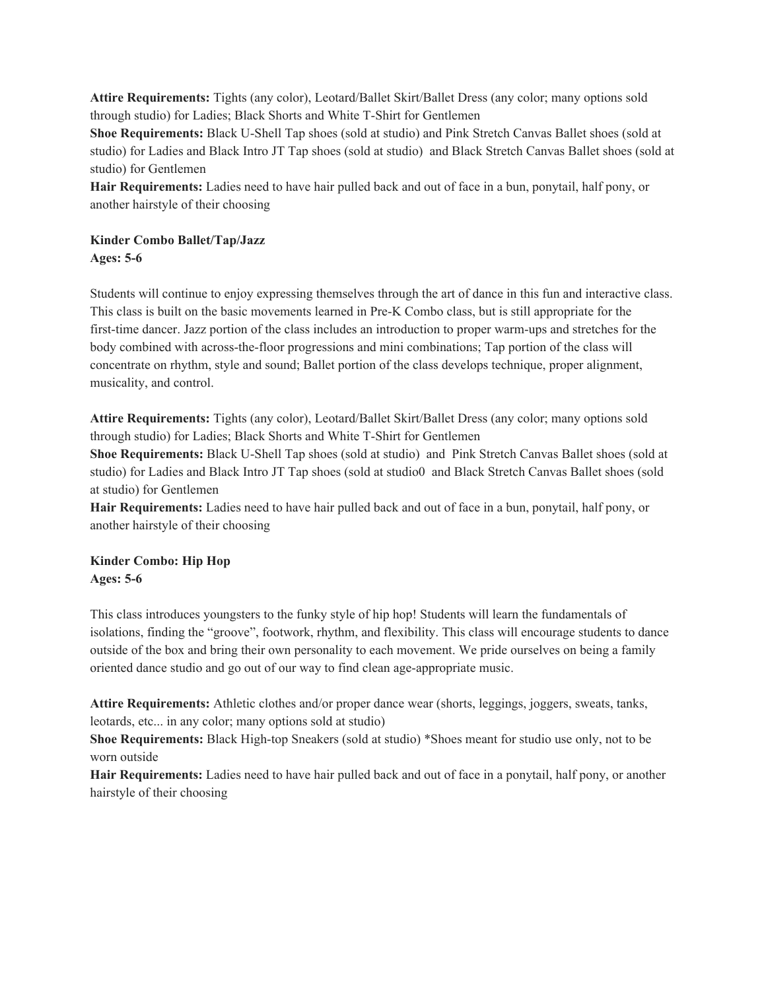**Attire Requirements:** Tights (any color), Leotard/Ballet Skirt/Ballet Dress (any color; many options sold through studio) for Ladies; Black Shorts and White T-Shirt for Gentlemen

**Shoe Requirements:** Black U-Shell Tap shoes (sold at studio) and Pink Stretch Canvas Ballet shoes (sold at studio) for Ladies and Black Intro JT Tap shoes (sold at studio) and Black Stretch Canvas Ballet shoes (sold at studio) for Gentlemen

**Hair Requirements:** Ladies need to have hair pulled back and out of face in a bun, ponytail, half pony, or another hairstyle of their choosing

# **Kinder Combo Ballet/Tap/Jazz Ages: 5-6**

Students will continue to enjoy expressing themselves through the art of dance in this fun and interactive class. This class is built on the basic movements learned in Pre-K Combo class, but is still appropriate for the first-time dancer. Jazz portion of the class includes an introduction to proper warm-ups and stretches for the body combined with across-the-floor progressions and mini combinations; Tap portion of the class will concentrate on rhythm, style and sound; Ballet portion of the class develops technique, proper alignment, musicality, and control.

**Attire Requirements:** Tights (any color), Leotard/Ballet Skirt/Ballet Dress (any color; many options sold through studio) for Ladies; Black Shorts and White T-Shirt for Gentlemen

**Shoe Requirements:** Black U-Shell Tap shoes (sold at studio) and Pink Stretch Canvas Ballet shoes (sold at studio) for Ladies and Black Intro JT Tap shoes (sold at studio0 and Black Stretch Canvas Ballet shoes (sold at studio) for Gentlemen

**Hair Requirements:** Ladies need to have hair pulled back and out of face in a bun, ponytail, half pony, or another hairstyle of their choosing

# **Kinder Combo: Hip Hop Ages: 5-6**

This class introduces youngsters to the funky style of hip hop! Students will learn the fundamentals of isolations, finding the "groove", footwork, rhythm, and flexibility. This class will encourage students to dance outside of the box and bring their own personality to each movement. We pride ourselves on being a family oriented dance studio and go out of our way to find clean age-appropriate music.

**Attire Requirements:** Athletic clothes and/or proper dance wear (shorts, leggings, joggers, sweats, tanks, leotards, etc... in any color; many options sold at studio)

**Shoe Requirements:** Black High-top Sneakers (sold at studio) \*Shoes meant for studio use only, not to be worn outside

**Hair Requirements:** Ladies need to have hair pulled back and out of face in a ponytail, half pony, or another hairstyle of their choosing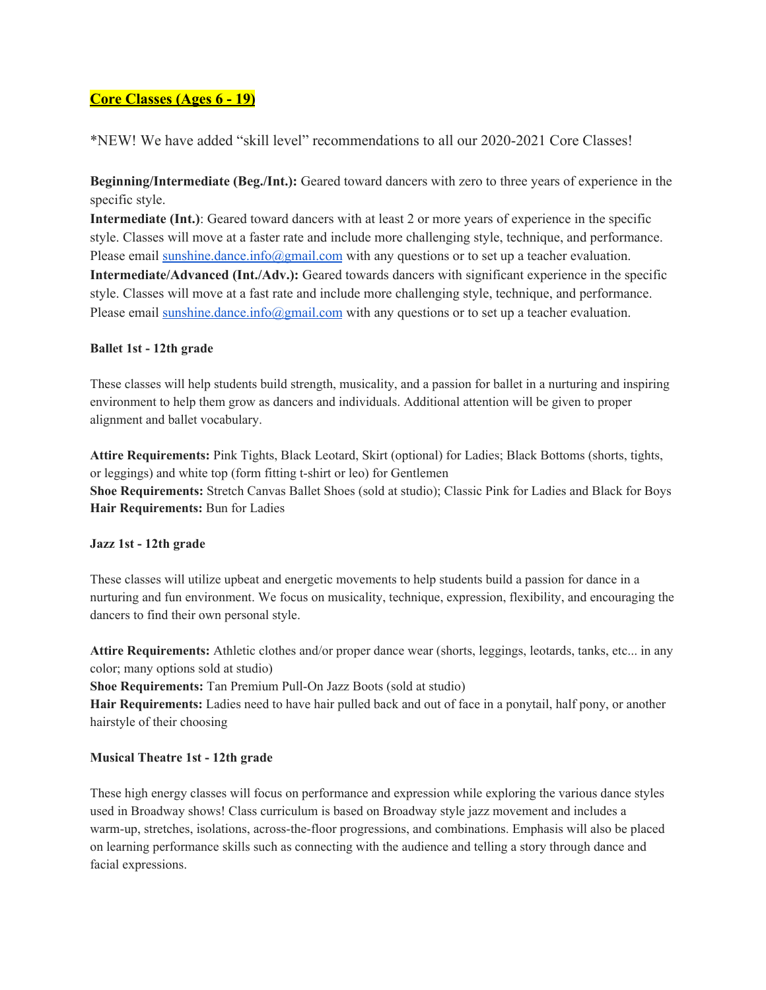# **Core Classes (Ages 6 - 19)**

\*NEW! We have added "skill level" recommendations to all our 2020-2021 Core Classes!

**Beginning/Intermediate (Beg./Int.):** Geared toward dancers with zero to three years of experience in the specific style.

**Intermediate (Int.)**: Geared toward dancers with at least 2 or more years of experience in the specific style. Classes will move at a faster rate and include more challenging style, technique, and performance. Please email [sunshine.dance.info@gmail.com](mailto:sunshine.dance.info@gmail.com) with any questions or to set up a teacher evaluation. **Intermediate/Advanced (Int./Adv.):** Geared towards dancers with significant experience in the specific style. Classes will move at a fast rate and include more challenging style, technique, and performance. Please email [sunshine.dance.info@gmail.com](mailto:sunshine.dance.info@gmail.com) with any questions or to set up a teacher evaluation.

#### **Ballet 1st - 12th grade**

These classes will help students build strength, musicality, and a passion for ballet in a nurturing and inspiring environment to help them grow as dancers and individuals. Additional attention will be given to proper alignment and ballet vocabulary.

**Attire Requirements:** Pink Tights, Black Leotard, Skirt (optional) for Ladies; Black Bottoms (shorts, tights, or leggings) and white top (form fitting t-shirt or leo) for Gentlemen **Shoe Requirements:** Stretch Canvas Ballet Shoes (sold at studio); Classic Pink for Ladies and Black for Boys **Hair Requirements:** Bun for Ladies

#### **Jazz 1st - 12th grade**

These classes will utilize upbeat and energetic movements to help students build a passion for dance in a nurturing and fun environment. We focus on musicality, technique, expression, flexibility, and encouraging the dancers to find their own personal style.

**Attire Requirements:** Athletic clothes and/or proper dance wear (shorts, leggings, leotards, tanks, etc... in any color; many options sold at studio)

**Shoe Requirements:** Tan Premium Pull-On Jazz Boots (sold at studio)

**Hair Requirements:** Ladies need to have hair pulled back and out of face in a ponytail, half pony, or another hairstyle of their choosing

#### **Musical Theatre 1st - 12th grade**

These high energy classes will focus on performance and expression while exploring the various dance styles used in Broadway shows! Class curriculum is based on Broadway style jazz movement and includes a warm-up, stretches, isolations, across-the-floor progressions, and combinations. Emphasis will also be placed on learning performance skills such as connecting with the audience and telling a story through dance and facial expressions.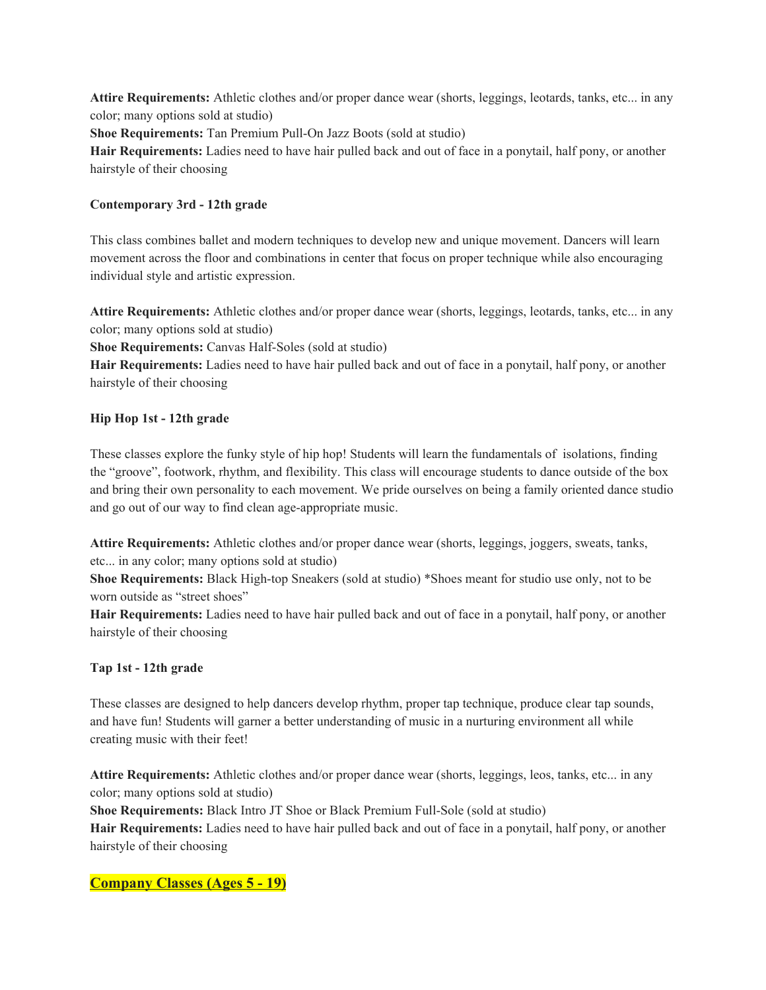**Attire Requirements:** Athletic clothes and/or proper dance wear (shorts, leggings, leotards, tanks, etc... in any color; many options sold at studio)

**Shoe Requirements:** Tan Premium Pull-On Jazz Boots (sold at studio)

**Hair Requirements:** Ladies need to have hair pulled back and out of face in a ponytail, half pony, or another hairstyle of their choosing

## **Contemporary 3rd - 12th grade**

This class combines ballet and modern techniques to develop new and unique movement. Dancers will learn movement across the floor and combinations in center that focus on proper technique while also encouraging individual style and artistic expression.

**Attire Requirements:** Athletic clothes and/or proper dance wear (shorts, leggings, leotards, tanks, etc... in any color; many options sold at studio)

**Shoe Requirements:** Canvas Half-Soles (sold at studio)

**Hair Requirements:** Ladies need to have hair pulled back and out of face in a ponytail, half pony, or another hairstyle of their choosing

## **Hip Hop 1st - 12th grade**

These classes explore the funky style of hip hop! Students will learn the fundamentals of isolations, finding the "groove", footwork, rhythm, and flexibility. This class will encourage students to dance outside of the box and bring their own personality to each movement. We pride ourselves on being a family oriented dance studio and go out of our way to find clean age-appropriate music.

**Attire Requirements:** Athletic clothes and/or proper dance wear (shorts, leggings, joggers, sweats, tanks, etc... in any color; many options sold at studio)

**Shoe Requirements:** Black High-top Sneakers (sold at studio) \*Shoes meant for studio use only, not to be worn outside as "street shoes"

**Hair Requirements:** Ladies need to have hair pulled back and out of face in a ponytail, half pony, or another hairstyle of their choosing

#### **Tap 1st - 12th grade**

These classes are designed to help dancers develop rhythm, proper tap technique, produce clear tap sounds, and have fun! Students will garner a better understanding of music in a nurturing environment all while creating music with their feet!

**Attire Requirements:** Athletic clothes and/or proper dance wear (shorts, leggings, leos, tanks, etc... in any color; many options sold at studio)

**Shoe Requirements:** Black Intro JT Shoe or Black Premium Full-Sole (sold at studio) **Hair Requirements:** Ladies need to have hair pulled back and out of face in a ponytail, half pony, or another hairstyle of their choosing

# **Company Classes (Ages 5 - 19)**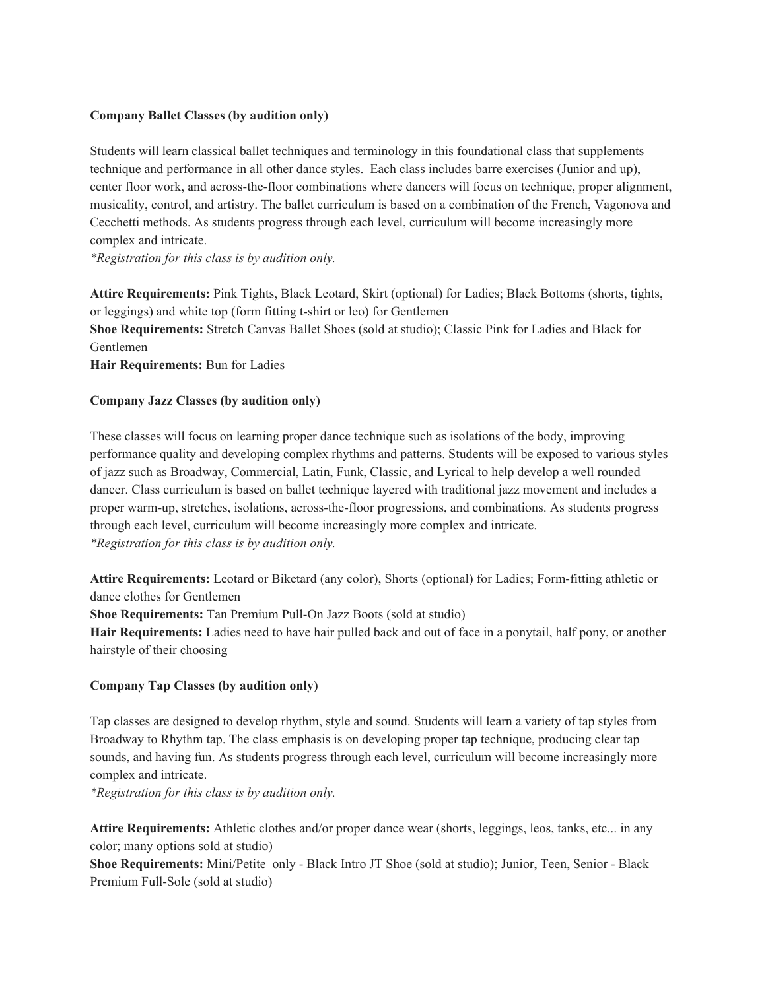#### **Company Ballet Classes (by audition only)**

Students will learn classical ballet techniques and terminology in this foundational class that supplements technique and performance in all other dance styles. Each class includes barre exercises (Junior and up), center floor work, and across-the-floor combinations where dancers will focus on technique, proper alignment, musicality, control, and artistry. The ballet curriculum is based on a combination of the French, Vagonova and Cecchetti methods. As students progress through each level, curriculum will become increasingly more complex and intricate.

*\*Registration for this class is by audition only.*

**Attire Requirements:** Pink Tights, Black Leotard, Skirt (optional) for Ladies; Black Bottoms (shorts, tights, or leggings) and white top (form fitting t-shirt or leo) for Gentlemen **Shoe Requirements:** Stretch Canvas Ballet Shoes (sold at studio); Classic Pink for Ladies and Black for Gentlemen **Hair Requirements:** Bun for Ladies

#### **Company Jazz Classes (by audition only)**

These classes will focus on learning proper dance technique such as isolations of the body, improving performance quality and developing complex rhythms and patterns. Students will be exposed to various styles of jazz such as Broadway, Commercial, Latin, Funk, Classic, and Lyrical to help develop a well rounded dancer. Class curriculum is based on ballet technique layered with traditional jazz movement and includes a proper warm-up, stretches, isolations, across-the-floor progressions, and combinations. As students progress through each level, curriculum will become increasingly more complex and intricate. *\*Registration for this class is by audition only.*

**Attire Requirements:** Leotard or Biketard (any color), Shorts (optional) for Ladies; Form-fitting athletic or dance clothes for Gentlemen

**Shoe Requirements:** Tan Premium Pull-On Jazz Boots (sold at studio)

**Hair Requirements:** Ladies need to have hair pulled back and out of face in a ponytail, half pony, or another hairstyle of their choosing

#### **Company Tap Classes (by audition only)**

Tap classes are designed to develop rhythm, style and sound. Students will learn a variety of tap styles from Broadway to Rhythm tap. The class emphasis is on developing proper tap technique, producing clear tap sounds, and having fun. As students progress through each level, curriculum will become increasingly more complex and intricate.

*\*Registration for this class is by audition only.*

**Attire Requirements:** Athletic clothes and/or proper dance wear (shorts, leggings, leos, tanks, etc... in any color; many options sold at studio)

**Shoe Requirements:** Mini/Petite only - Black Intro JT Shoe (sold at studio); Junior, Teen, Senior - Black Premium Full-Sole (sold at studio)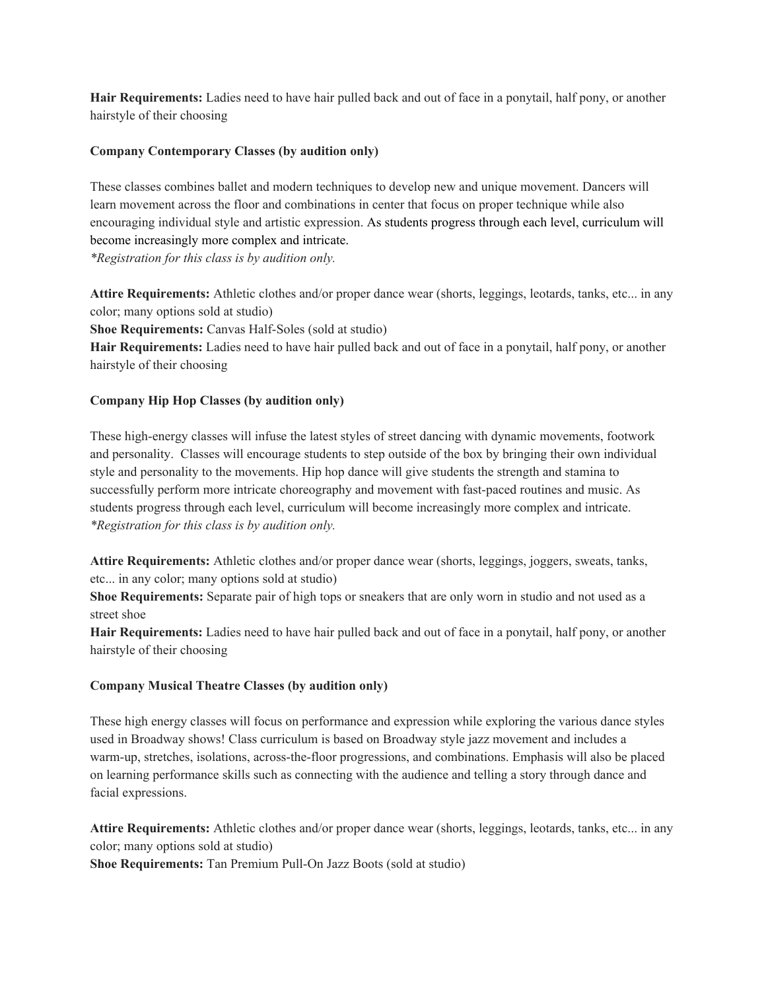**Hair Requirements:** Ladies need to have hair pulled back and out of face in a ponytail, half pony, or another hairstyle of their choosing

### **Company Contemporary Classes (by audition only)**

These classes combines ballet and modern techniques to develop new and unique movement. Dancers will learn movement across the floor and combinations in center that focus on proper technique while also encouraging individual style and artistic expression. As students progress through each level, curriculum will become increasingly more complex and intricate.

*\*Registration for this class is by audition only.*

**Attire Requirements:** Athletic clothes and/or proper dance wear (shorts, leggings, leotards, tanks, etc... in any color; many options sold at studio)

**Shoe Requirements:** Canvas Half-Soles (sold at studio)

**Hair Requirements:** Ladies need to have hair pulled back and out of face in a ponytail, half pony, or another hairstyle of their choosing

#### **Company Hip Hop Classes (by audition only)**

These high-energy classes will infuse the latest styles of street dancing with dynamic movements, footwork and personality. Classes will encourage students to step outside of the box by bringing their own individual style and personality to the movements. Hip hop dance will give students the strength and stamina to successfully perform more intricate choreography and movement with fast-paced routines and music. As students progress through each level, curriculum will become increasingly more complex and intricate. *\*Registration for this class is by audition only.*

**Attire Requirements:** Athletic clothes and/or proper dance wear (shorts, leggings, joggers, sweats, tanks, etc... in any color; many options sold at studio)

**Shoe Requirements:** Separate pair of high tops or sneakers that are only worn in studio and not used as a street shoe

**Hair Requirements:** Ladies need to have hair pulled back and out of face in a ponytail, half pony, or another hairstyle of their choosing

#### **Company Musical Theatre Classes (by audition only)**

These high energy classes will focus on performance and expression while exploring the various dance styles used in Broadway shows! Class curriculum is based on Broadway style jazz movement and includes a warm-up, stretches, isolations, across-the-floor progressions, and combinations. Emphasis will also be placed on learning performance skills such as connecting with the audience and telling a story through dance and facial expressions.

**Attire Requirements:** Athletic clothes and/or proper dance wear (shorts, leggings, leotards, tanks, etc... in any color; many options sold at studio)

**Shoe Requirements:** Tan Premium Pull-On Jazz Boots (sold at studio)